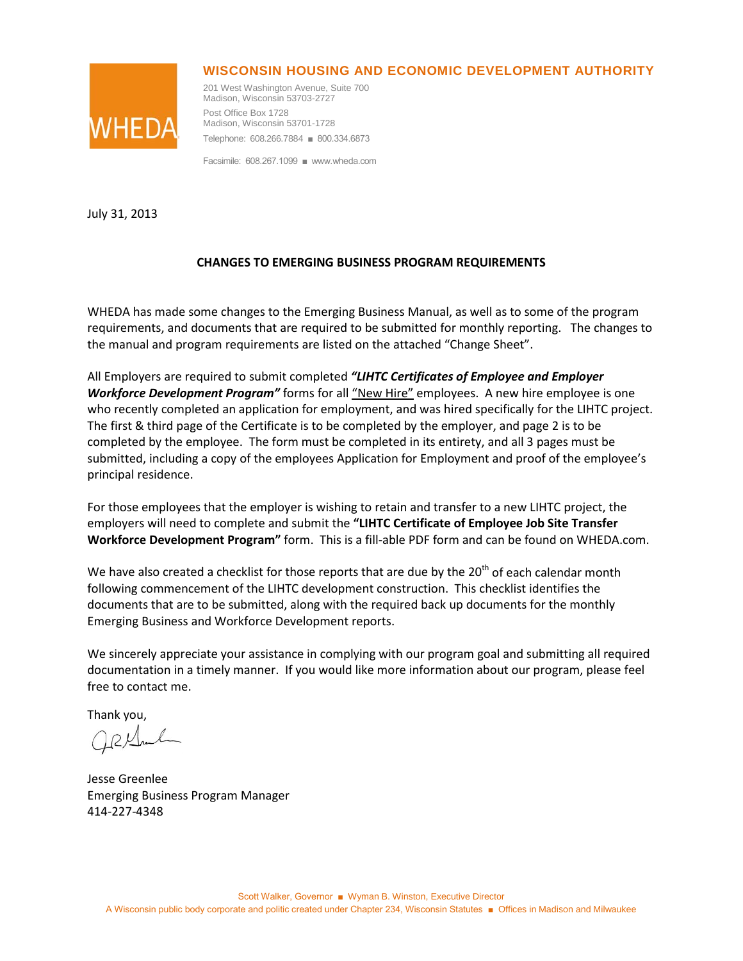## **WISCONSIN HOUSING AND ECONOMIC DEVELOPMENT AUTHORITY**



201 West Washington Avenue, Suite 700 Madison, Wisconsin 53703-2727 Post Office Box 1728 Madison, Wisconsin 53701-1728 Telephone: 608.266.7884 ■ 800.334.6873

Facsimile: 608.267.1099 ■ www.wheda.com

July 31, 2013

## **CHANGES TO EMERGING BUSINESS PROGRAM REQUIREMENTS**

WHEDA has made some changes to the Emerging Business Manual, as well as to some of the program requirements, and documents that are required to be submitted for monthly reporting. The changes to the manual and program requirements are listed on the attached "Change Sheet".

All Employers are required to submit completed *"LIHTC Certificates of Employee and Employer*  **Workforce Development Program"** forms for all "New Hire" employees. A new hire employee is one who recently completed an application for employment, and was hired specifically for the LIHTC project. The first & third page of the Certificate is to be completed by the employer, and page 2 is to be completed by the employee. The form must be completed in its entirety, and all 3 pages must be submitted, including a copy of the employees Application for Employment and proof of the employee's principal residence.

For those employees that the employer is wishing to retain and transfer to a new LIHTC project, the employers will need to complete and submit the **"LIHTC Certificate of Employee Job Site Transfer Workforce Development Program"** form. This is a fill-able PDF form and can be found on WHEDA.com.

We have also created a checklist for those reports that are due by the  $20<sup>th</sup>$  of each calendar month following commencement of the LIHTC development construction. This checklist identifies the documents that are to be submitted, along with the required back up documents for the monthly Emerging Business and Workforce Development reports.

We sincerely appreciate your assistance in complying with our program goal and submitting all required documentation in a timely manner. If you would like more information about our program, please feel free to contact me.

Thank you,

Jesse Greenlee Emerging Business Program Manager 414-227-4348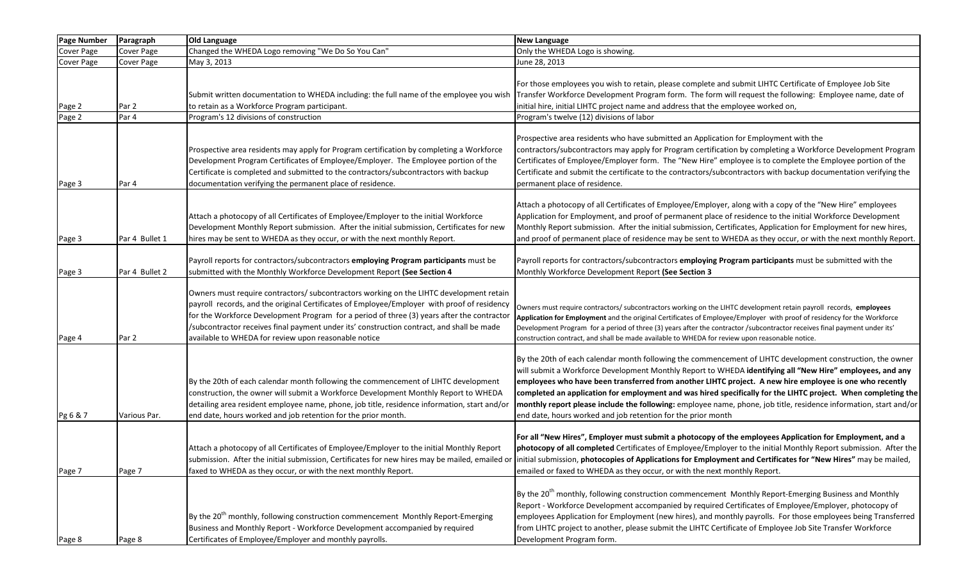| <b>Page Number</b> | Paragraph         | <b>Old Language</b>                                                                                                                                                                                                                                                                                                                                                                                                                      | <b>New Language</b>                                                                                                                                                                                                                                                                                                                                                                                                                                                                                                                                                                                                                      |
|--------------------|-------------------|------------------------------------------------------------------------------------------------------------------------------------------------------------------------------------------------------------------------------------------------------------------------------------------------------------------------------------------------------------------------------------------------------------------------------------------|------------------------------------------------------------------------------------------------------------------------------------------------------------------------------------------------------------------------------------------------------------------------------------------------------------------------------------------------------------------------------------------------------------------------------------------------------------------------------------------------------------------------------------------------------------------------------------------------------------------------------------------|
| Cover Page         | <b>Cover Page</b> | Changed the WHEDA Logo removing "We Do So You Can"                                                                                                                                                                                                                                                                                                                                                                                       | Only the WHEDA Logo is showing.                                                                                                                                                                                                                                                                                                                                                                                                                                                                                                                                                                                                          |
| Cover Page         | <b>Cover Page</b> | May 3, 2013                                                                                                                                                                                                                                                                                                                                                                                                                              | June 28, 2013                                                                                                                                                                                                                                                                                                                                                                                                                                                                                                                                                                                                                            |
| Page 2             | Par 2             | Submit written documentation to WHEDA including: the full name of the employee you wish<br>to retain as a Workforce Program participant.                                                                                                                                                                                                                                                                                                 | For those employees you wish to retain, please complete and submit LIHTC Certificate of Employee Job Site<br>Transfer Workforce Development Program form. The form will request the following: Employee name, date of<br>initial hire, initial LIHTC project name and address that the employee worked on,                                                                                                                                                                                                                                                                                                                               |
| Page 2             | Par 4             | Program's 12 divisions of construction                                                                                                                                                                                                                                                                                                                                                                                                   | Program's twelve (12) divisions of labor                                                                                                                                                                                                                                                                                                                                                                                                                                                                                                                                                                                                 |
| Page 3             | Par 4             | Prospective area residents may apply for Program certification by completing a Workforce<br>Development Program Certificates of Employee/Employer. The Employee portion of the<br>Certificate is completed and submitted to the contractors/subcontractors with backup<br>documentation verifying the permanent place of residence.                                                                                                      | Prospective area residents who have submitted an Application for Employment with the<br>contractors/subcontractors may apply for Program certification by completing a Workforce Development Program<br>Certificates of Employee/Employer form. The "New Hire" employee is to complete the Employee portion of the<br>Certificate and submit the certificate to the contractors/subcontractors with backup documentation verifying the<br>permanent place of residence.                                                                                                                                                                  |
| Page 3             | Par 4 Bullet 1    | Attach a photocopy of all Certificates of Employee/Employer to the initial Workforce<br>Development Monthly Report submission. After the initial submission, Certificates for new<br>hires may be sent to WHEDA as they occur, or with the next monthly Report.                                                                                                                                                                          | Attach a photocopy of all Certificates of Employee/Employer, along with a copy of the "New Hire" employees<br>Application for Employment, and proof of permanent place of residence to the initial Workforce Development<br>Monthly Report submission. After the initial submission, Certificates, Application for Employment for new hires,<br>and proof of permanent place of residence may be sent to WHEDA as they occur, or with the next monthly Report.                                                                                                                                                                           |
| Page 3             | Par 4 Bullet 2    | Payroll reports for contractors/subcontractors employing Program participants must be<br>submitted with the Monthly Workforce Development Report (See Section 4                                                                                                                                                                                                                                                                          | Payroll reports for contractors/subcontractors employing Program participants must be submitted with the<br>Monthly Workforce Development Report (See Section 3                                                                                                                                                                                                                                                                                                                                                                                                                                                                          |
| Page 4             | Par 2             | Owners must require contractors/ subcontractors working on the LIHTC development retain<br>payroll records, and the original Certificates of Employee/Employer with proof of residency<br>for the Workforce Development Program for a period of three (3) years after the contracto<br>/subcontractor receives final payment under its' construction contract, and shall be made<br>available to WHEDA for review upon reasonable notice | Owners must require contractors/ subcontractors working on the LIHTC development retain payroll records, employees<br>Application for Employment and the original Certificates of Employee/Employer with proof of residency for the Workforce<br>Development Program for a period of three (3) years after the contractor /subcontractor receives final payment under its'<br>construction contract, and shall be made available to WHEDA for review upon reasonable notice.                                                                                                                                                             |
| Pg 6 & 7           | Various Par.      | By the 20th of each calendar month following the commencement of LIHTC development<br>construction, the owner will submit a Workforce Development Monthly Report to WHEDA<br>detailing area resident employee name, phone, job title, residence information, start and/or<br>end date, hours worked and job retention for the prior month.                                                                                               | By the 20th of each calendar month following the commencement of LIHTC development construction, the owner<br>will submit a Workforce Development Monthly Report to WHEDA identifying all "New Hire" employees, and any<br>employees who have been transferred from another LIHTC project. A new hire employee is one who recently<br>completed an application for employment and was hired specifically for the LIHTC project. When completing the<br>monthly report please include the following: employee name, phone, job title, residence information, start and/or<br>end date, hours worked and job retention for the prior month |
| Page 7             | Page 7            | Attach a photocopy of all Certificates of Employee/Employer to the initial Monthly Report<br>faxed to WHEDA as they occur, or with the next monthly Report.                                                                                                                                                                                                                                                                              | For all "New Hires", Employer must submit a photocopy of the employees Application for Employment, and a<br>photocopy of all completed Certificates of Employee/Employer to the initial Monthly Report submission. After the<br>submission. After the initial submission, Certificates for new hires may be mailed, emailed or initial submission, photocopies of Applications for Employment and Certificates for "New Hires" may be mailed,<br>emailed or faxed to WHEDA as they occur, or with the next monthly Report.                                                                                                               |
| Page 8             | Page 8            | By the 20 <sup>th</sup> monthly, following construction commencement Monthly Report-Emerging<br>Business and Monthly Report - Workforce Development accompanied by required<br>Certificates of Employee/Employer and monthly payrolls.                                                                                                                                                                                                   | By the 20 <sup>th</sup> monthly, following construction commencement Monthly Report-Emerging Business and Monthly<br>Report - Workforce Development accompanied by required Certificates of Employee/Employer, photocopy of<br>employees Application for Employment (new hires), and monthly payrolls. For those employees being Transferred<br>from LIHTC project to another, please submit the LIHTC Certificate of Employee Job Site Transfer Workforce<br>Development Program form.                                                                                                                                                  |